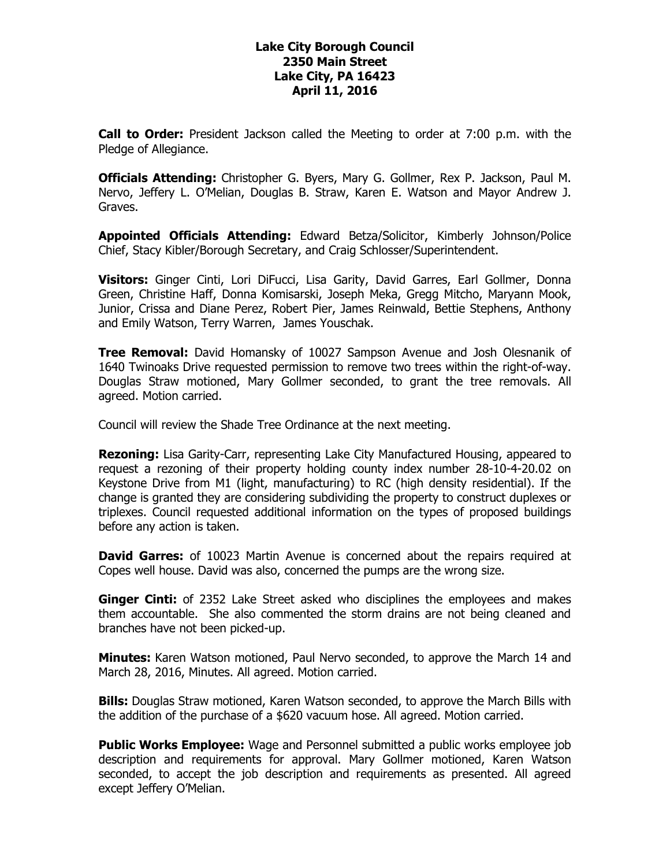## **Lake City Borough Council 2350 Main Street Lake City, PA 16423 April 11, 2016**

**Call to Order:** President Jackson called the Meeting to order at 7:00 p.m. with the Pledge of Allegiance.

**Officials Attending:** Christopher G. Byers, Mary G. Gollmer, Rex P. Jackson, Paul M. Nervo, Jeffery L. O'Melian, Douglas B. Straw, Karen E. Watson and Mayor Andrew J. Graves.

**Appointed Officials Attending:** Edward Betza/Solicitor, Kimberly Johnson/Police Chief, Stacy Kibler/Borough Secretary, and Craig Schlosser/Superintendent.

**Visitors:** Ginger Cinti, Lori DiFucci, Lisa Garity, David Garres, Earl Gollmer, Donna Green, Christine Haff, Donna Komisarski, Joseph Meka, Gregg Mitcho, Maryann Mook, Junior, Crissa and Diane Perez, Robert Pier, James Reinwald, Bettie Stephens, Anthony and Emily Watson, Terry Warren, James Youschak.

**Tree Removal:** David Homansky of 10027 Sampson Avenue and Josh Olesnanik of 1640 Twinoaks Drive requested permission to remove two trees within the right-of-way. Douglas Straw motioned, Mary Gollmer seconded, to grant the tree removals. All agreed. Motion carried.

Council will review the Shade Tree Ordinance at the next meeting.

**Rezoning:** Lisa Garity-Carr, representing Lake City Manufactured Housing, appeared to request a rezoning of their property holding county index number 28-10-4-20.02 on Keystone Drive from M1 (light, manufacturing) to RC (high density residential). If the change is granted they are considering subdividing the property to construct duplexes or triplexes. Council requested additional information on the types of proposed buildings before any action is taken.

**David Garres:** of 10023 Martin Avenue is concerned about the repairs required at Copes well house. David was also, concerned the pumps are the wrong size.

**Ginger Cinti:** of 2352 Lake Street asked who disciplines the employees and makes them accountable. She also commented the storm drains are not being cleaned and branches have not been picked-up.

**Minutes:** Karen Watson motioned, Paul Nervo seconded, to approve the March 14 and March 28, 2016, Minutes. All agreed. Motion carried.

**Bills:** Douglas Straw motioned, Karen Watson seconded, to approve the March Bills with the addition of the purchase of a \$620 vacuum hose. All agreed. Motion carried.

**Public Works Employee:** Wage and Personnel submitted a public works employee job description and requirements for approval. Mary Gollmer motioned, Karen Watson seconded, to accept the job description and requirements as presented. All agreed except Jeffery O'Melian.